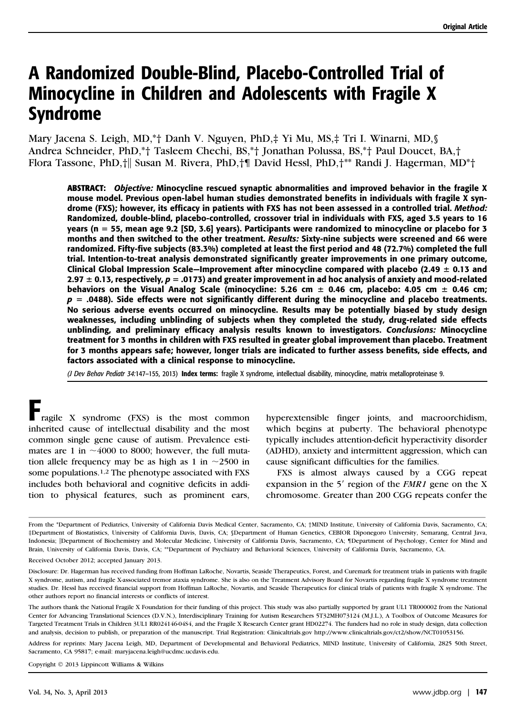# A Randomized Double-Blind, Placebo-Controlled Trial of Minocycline in Children and Adolescents with Fragile X Syndrome

Mary Jacena S. Leigh, MD,\*† Danh V. Nguyen, PhD,‡ Yi Mu, MS,‡ Tri I. Winarni, MD,§ Andrea Schneider, PhD,\*† Tasleem Chechi, BS,\*† Jonathan Polussa, BS,\*† Paul Doucet, BA,† Flora Tassone, PhD, | Susan M. Rivera, PhD, | David Hessl, PhD, | \*\* Randi J. Hagerman, MD\* |

ABSTRACT: Objective: Minocycline rescued synaptic abnormalities and improved behavior in the fragile X mouse model. Previous open-label human studies demonstrated benefits in individuals with fragile X syndrome (FXS); however, its efficacy in patients with FXS has not been assessed in a controlled trial. Method: Randomized, double-blind, placebo-controlled, crossover trial in individuals with FXS, aged 3.5 years to 16 years (n 5 55, mean age 9.2 [SD, 3.6] years). Participants were randomized to minocycline or placebo for 3 months and then switched to the other treatment. Results: Sixty-nine subjects were screened and 66 were randomized. Fifty-five subjects (83.3%) completed at least the first period and 48 (72.7%) completed the full trial. Intention-to-treat analysis demonstrated significantly greater improvements in one primary outcome, Clinical Global Impression Scale–Improvement after minocycline compared with placebo (2.49  $\pm$  0.13 and 2.97  $\pm$  0.13, respectively,  $p = .0173$ ) and greater improvement in ad hoc analysis of anxiety and mood-related behaviors on the Visual Analog Scale (minocycline: 5.26 cm  $\pm$  0.46 cm, placebo: 4.05 cm  $\pm$  0.46 cm;  $p = .0488$ ). Side effects were not significantly different during the minocycline and placebo treatments. No serious adverse events occurred on minocycline. Results may be potentially biased by study design weaknesses, including unblinding of subjects when they completed the study, drug-related side effects unblinding, and preliminary efficacy analysis results known to investigators. Conclusions: Minocycline treatment for 3 months in children with FXS resulted in greater global improvement than placebo. Treatment for 3 months appears safe; however, longer trials are indicated to further assess benefits, side effects, and factors associated with a clinical response to minocycline.

(J Dev Behav Pediatr 34:147-155, 2013) Index terms: fragile X syndrome, intellectual disability, minocycline, matrix metalloproteinase 9.

Fragile X syndrome (FXS) is the most common inherited cause of intellectual disability and the most common single gene cause of autism. Prevalence estimates are 1 in  $\sim$ 4000 to 8000; however, the full mutation allele frequency may be as high as 1 in  $\sim$ 2500 in some populations.1,2 The phenotype associated with FXS includes both behavioral and cognitive deficits in addition to physical features, such as prominent ears,

hyperextensible finger joints, and macroorchidism, which begins at puberty. The behavioral phenotype typically includes attention-deficit hyperactivity disorder (ADHD), anxiety and intermittent aggression, which can cause significant difficulties for the families.

FXS is almost always caused by a CGG repeat expansion in the 5' region of the *FMR1* gene on the X chromosome. Greater than 200 CGG repeats confer the

Copyright  $@$  2013 Lippincott Williams & Wilkins

From the \*Department of Pediatrics, University of California Davis Medical Center, Sacramento, CA; †MIND Institute, University of California Davis, Sacramento, CA; ‡Department of Biostatistics, University of California Davis, Davis, CA; §Department of Human Genetics, CEBIOR Diponegoro University, Semarang, Central Java, Indonesia;  $\Box$ Department of Biochemistry and Molecular Medicine, University of California Davis, Sacramento, CA; ¶Department of Psychology, Center for Mind and Brain, University of California Davis, Davis, CA; \*\*Department of Psychiatry and Behavioral Sciences, University of California Davis, Sacramento, CA.

Received October 2012; accepted January 2013.

Disclosure: Dr. Hagerman has received funding from Hoffman LaRoche, Novartis, Seaside Therapeutics, Forest, and Curemark for treatment trials in patients with fragile X syndrome, autism, and fragile X-associated tremor ataxia syndrome. She is also on the Treatment Advisory Board for Novartis regarding fragile X syndrome treatment studies. Dr. Hessl has received financial support from Hoffman LaRoche, Novartis, and Seaside Therapeutics for clinical trials of patients with fragile X syndrome. The other authors report no financial interests or conflicts of interest.

The authors thank the National Fragile X Foundation for their funding of this project. This study was also partially supported by grant UL1 TR000002 from the National Center for Advancing Translational Sciences (D.V.N.), Interdisciplinary Training for Autism Researchers 5T32MH073124 (M.J.L.), A Toolbox of Outcome Measures for Targeted Treatment Trials in Children 3UL1 RR024146-04S4, and the Fragile X Research Center grant HD02274. The funders had no role in study design, data collection and analysis, decision to publish, or preparation of the manuscript. Trial Registration: Clinicaltrials.gov http://www.clinicaltrials.gov/ct2/show/NCT01053156.

Address for reprints: Mary Jacena Leigh, MD, Department of Developmental and Behavioral Pediatrics, MIND Institute, University of California, 2825 50th Street, Sacramento, CA 95817; e-mail: maryjacena.leigh@ucdmc.ucdavis.edu.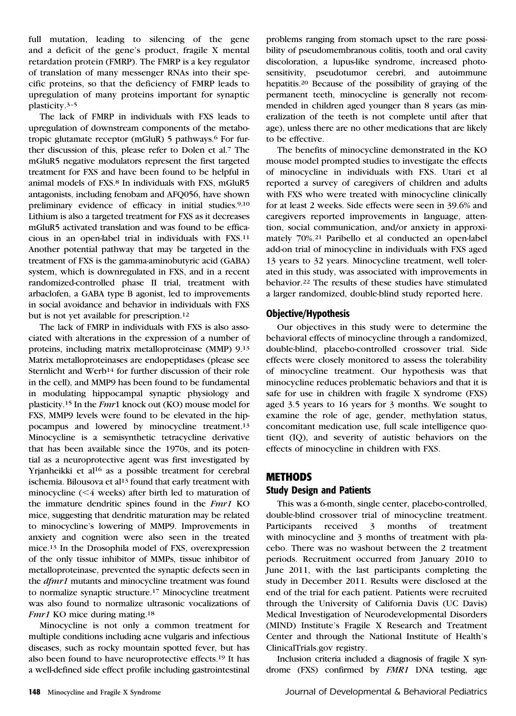full mutation, leading to silencing of the gene and a deficit of the gene's product, fragile X mental retardation protein (FMRP). The FMRP is a key regulator of translation of many messenger RNAs into their specific proteins, so that the deficiency of FMRP leads to upregulation of many proteins important for synaptic plasticity.3–<sup>5</sup>

The lack of FMRP in individuals with FXS leads to upregulation of downstream components of the metabotropic glutamate receptor (mGluR) 5 pathways.6 For further discussion of this, please refer to Dolen et al.7 The mGluR5 negative modulators represent the first targeted treatment for FXS and have been found to be helpful in animal models of FXS.8 In individuals with FXS, mGluR5 antagonists, including fenobam and AFQ056, have shown preliminary evidence of efficacy in initial studies.9,10 Lithium is also a targeted treatment for FXS as it decreases mGluR5 activated translation and was found to be efficacious in an open-label trial in individuals with FXS.11 Another potential pathway that may be targeted in the treatment of FXS is the gamma-aminobutyric acid (GABA) system, which is downregulated in FXS, and in a recent randomized-controlled phase II trial, treatment with arbaclofen, a GABA type B agonist, led to improvements in social avoidance and behavior in individuals with FXS but is not yet available for prescription.12

The lack of FMRP in individuals with FXS is also associated with alterations in the expression of a number of proteins, including matrix metalloproteinase (MMP) 9.13 Matrix metalloproteinases are endopeptidases (please see Sternlicht and Werb<sup>14</sup> for further discussion of their role in the cell), and MMP9 has been found to be fundamental in modulating hippocampal synaptic physiology and plasticity.15 In the Fmr1 knock out (KO) mouse model for FXS, MMP9 levels were found to be elevated in the hippocampus and lowered by minocycline treatment.13 Minocycline is a semisynthetic tetracycline derivative that has been available since the 1970s, and its potential as a neuroprotective agent was first investigated by Yrjanheikki et al<sup>16</sup> as a possible treatment for cerebral ischemia. Bilousova et al<sup>13</sup> found that early treatment with minocycline  $(< 4$  weeks) after birth led to maturation of the immature dendritic spines found in the Fmr1 KO mice, suggesting that dendritic maturation may be related to minocycline's lowering of MMP9. Improvements in anxiety and cognition were also seen in the treated mice.13 In the Drosophila model of FXS, overexpression of the only tissue inhibitor of MMPs, tissue inhibitor of metalloproteinase, prevented the synaptic defects seen in the dfmr1 mutants and minocycline treatment was found to normalize synaptic structure.17 Minocycline treatment was also found to normalize ultrasonic vocalizations of Fmr1 KO mice during mating.<sup>18</sup>

Minocycline is not only a common treatment for multiple conditions including acne vulgaris and infectious diseases, such as rocky mountain spotted fever, but has also been found to have neuroprotective effects.19 It has a well-defined side effect profile including gastrointestinal

problems ranging from stomach upset to the rare possibility of pseudomembranous colitis, tooth and oral cavity discoloration, a lupus-like syndrome, increased photosensitivity, pseudotumor cerebri, and autoimmune hepatitis.20 Because of the possibility of graying of the permanent teeth, minocycline is generally not recommended in children aged younger than 8 years (as mineralization of the teeth is not complete until after that age), unless there are no other medications that are likely to be effective.

The benefits of minocycline demonstrated in the KO mouse model prompted studies to investigate the effects of minocycline in individuals with FXS. Utari et al reported a survey of caregivers of children and adults with FXS who were treated with minocycline clinically for at least 2 weeks. Side effects were seen in 39.6% and caregivers reported improvements in language, attention, social communication, and/or anxiety in approximately 70%.21 Paribello et al conducted an open-label add-on trial of minocycline in individuals with FXS aged 13 years to 32 years. Minocycline treatment, well tolerated in this study, was associated with improvements in behavior.22 The results of these studies have stimulated a larger randomized, double-blind study reported here.

#### Objective/Hypothesis

Our objectives in this study were to determine the behavioral effects of minocycline through a randomized, double-blind, placebo-controlled crossover trial. Side effects were closely monitored to assess the tolerability of minocycline treatment. Our hypothesis was that minocycline reduces problematic behaviors and that it is safe for use in children with fragile X syndrome (FXS) aged 3.5 years to 16 years for 3 months. We sought to examine the role of age, gender, methylation status, concomitant medication use, full scale intelligence quotient (IQ), and severity of autistic behaviors on the effects of minocycline in children with FXS.

#### METHODS

## Study Design and Patients

This was a 6-month, single center, placebo-controlled, double-blind crossover trial of minocycline treatment. Participants received 3 months of treatment with minocycline and 3 months of treatment with placebo. There was no washout between the 2 treatment periods. Recruitment occurred from January 2010 to June 2011, with the last participants completing the study in December 2011. Results were disclosed at the end of the trial for each patient. Patients were recruited through the University of California Davis (UC Davis) Medical Investigation of Neurodevelopmental Disorders (MIND) Institute's Fragile X Research and Treatment Center and through the National Institute of Health's ClinicalTrials.gov registry.

Inclusion criteria included a diagnosis of fragile X syndrome (FXS) confirmed by FMR1 DNA testing, age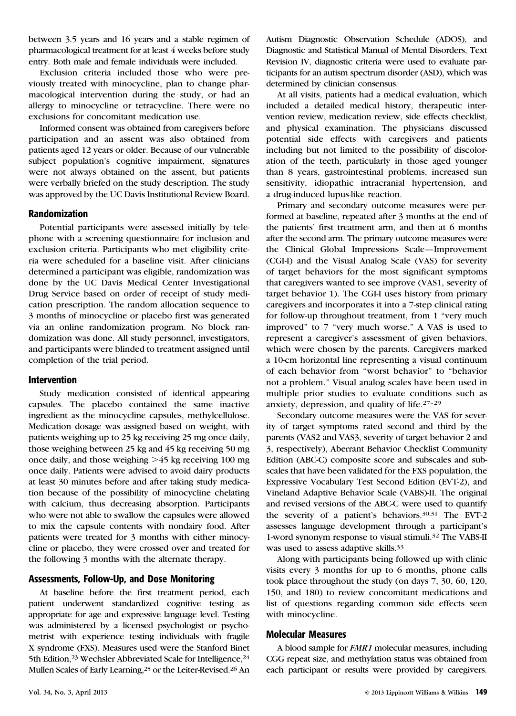between 3.5 years and 16 years and a stable regimen of pharmacological treatment for at least 4 weeks before study entry. Both male and female individuals were included.

Exclusion criteria included those who were previously treated with minocycline, plan to change pharmacological intervention during the study, or had an allergy to minocycline or tetracycline. There were no exclusions for concomitant medication use.

Informed consent was obtained from caregivers before participation and an assent was also obtained from patients aged 12 years or older. Because of our vulnerable subject population's cognitive impairment, signatures were not always obtained on the assent, but patients were verbally briefed on the study description. The study was approved by the UC Davis Institutional Review Board.

#### Randomization

Potential participants were assessed initially by telephone with a screening questionnaire for inclusion and exclusion criteria. Participants who met eligibility criteria were scheduled for a baseline visit. After clinicians determined a participant was eligible, randomization was done by the UC Davis Medical Center Investigational Drug Service based on order of receipt of study medication prescription. The random allocation sequence to 3 months of minocycline or placebo first was generated via an online randomization program. No block randomization was done. All study personnel, investigators, and participants were blinded to treatment assigned until completion of the trial period.

#### Intervention

Study medication consisted of identical appearing capsules. The placebo contained the same inactive ingredient as the minocycline capsules, methylcellulose. Medication dosage was assigned based on weight, with patients weighing up to 25 kg receiving 25 mg once daily, those weighing between 25 kg and 45 kg receiving 50 mg once daily, and those weighing  $>45$  kg receiving 100 mg once daily. Patients were advised to avoid dairy products at least 30 minutes before and after taking study medication because of the possibility of minocycline chelating with calcium, thus decreasing absorption. Participants who were not able to swallow the capsules were allowed to mix the capsule contents with nondairy food. After patients were treated for 3 months with either minocycline or placebo, they were crossed over and treated for the following 3 months with the alternate therapy.

## Assessments, Follow-Up, and Dose Monitoring

At baseline before the first treatment period, each patient underwent standardized cognitive testing as appropriate for age and expressive language level. Testing was administered by a licensed psychologist or psychometrist with experience testing individuals with fragile X syndrome (FXS). Measures used were the Stanford Binet 5th Edition,<sup>23</sup> Wechsler Abbreviated Scale for Intelligence,<sup>24</sup> Mullen Scales of Early Learning,25 or the Leiter-Revised.26 An

Autism Diagnostic Observation Schedule (ADOS), and Diagnostic and Statistical Manual of Mental Disorders, Text Revision IV, diagnostic criteria were used to evaluate participants for an autism spectrum disorder (ASD), which was determined by clinician consensus.

At all visits, patients had a medical evaluation, which included a detailed medical history, therapeutic intervention review, medication review, side effects checklist, and physical examination. The physicians discussed potential side effects with caregivers and patients including but not limited to the possibility of discoloration of the teeth, particularly in those aged younger than 8 years, gastrointestinal problems, increased sun sensitivity, idiopathic intracranial hypertension, and a drug-induced lupus-like reaction.

Primary and secondary outcome measures were performed at baseline, repeated after 3 months at the end of the patients' first treatment arm, and then at 6 months after the second arm. The primary outcome measures were the Clinical Global Impressions Scale—Improvement (CGI-I) and the Visual Analog Scale (VAS) for severity of target behaviors for the most significant symptoms that caregivers wanted to see improve (VAS1, severity of target behavior 1). The CGI-I uses history from primary caregivers and incorporates it into a 7-step clinical rating for follow-up throughout treatment, from 1 "very much improved" to 7 "very much worse." A VAS is used to represent a caregiver's assessment of given behaviors, which were chosen by the parents. Caregivers marked a 10-cm horizontal line representing a visual continuum of each behavior from "worst behavior" to "behavior not a problem." Visual analog scales have been used in multiple prior studies to evaluate conditions such as anxiety, depression, and quality of life.27–<sup>29</sup>

Secondary outcome measures were the VAS for severity of target symptoms rated second and third by the parents (VAS2 and VAS3, severity of target behavior 2 and 3, respectively), Aberrant Behavior Checklist Community Edition (ABC-C) composite score and subscales and subscales that have been validated for the FXS population, the Expressive Vocabulary Test Second Edition (EVT-2), and Vineland Adaptive Behavior Scale (VABS)-II. The original and revised versions of the ABC-C were used to quantify the severity of a patient's behaviors.30,31 The EVT-2 assesses language development through a participant's 1-word synonym response to visual stimuli.32 The VABS-II was used to assess adaptive skills.33

Along with participants being followed up with clinic visits every 3 months for up to 6 months, phone calls took place throughout the study (on days 7, 30, 60, 120, 150, and 180) to review concomitant medications and list of questions regarding common side effects seen with minocycline.

#### Molecular Measures

A blood sample for FMR1 molecular measures, including CGG repeat size, and methylation status was obtained from each participant or results were provided by caregivers.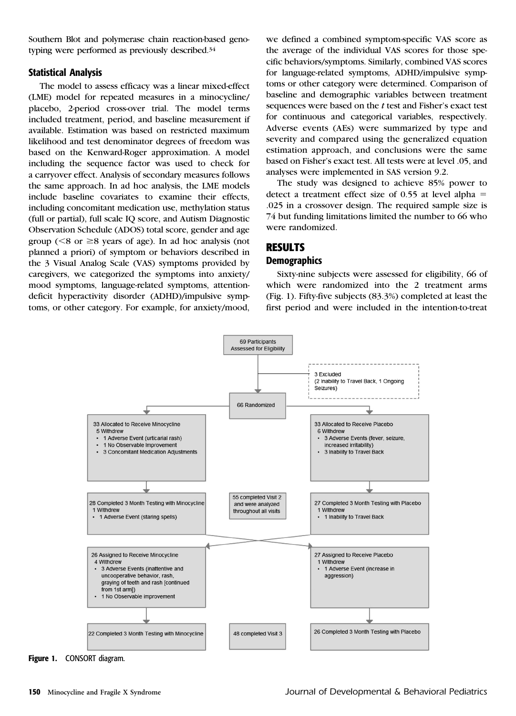Southern Blot and polymerase chain reaction-based genotyping were performed as previously described.34

#### Statistical Analysis

The model to assess efficacy was a linear mixed-effect (LME) model for repeated measures in a minocycline/ placebo, 2-period cross-over trial. The model terms included treatment, period, and baseline measurement if available. Estimation was based on restricted maximum likelihood and test denominator degrees of freedom was based on the Kenward-Roger approximation. A model including the sequence factor was used to check for a carryover effect. Analysis of secondary measures follows the same approach. In ad hoc analysis, the LME models include baseline covariates to examine their effects, including concomitant medication use, methylation status (full or partial), full scale IQ score, and Autism Diagnostic Observation Schedule (ADOS) total score, gender and age group ( $\leq 8$  or  $\geq 8$  years of age). In ad hoc analysis (not planned a priori) of symptom or behaviors described in the 3 Visual Analog Scale (VAS) symptoms provided by caregivers, we categorized the symptoms into anxiety/ mood symptoms, language-related symptoms, attentiondeficit hyperactivity disorder (ADHD)/impulsive symptoms, or other category. For example, for anxiety/mood,

we defined a combined symptom-specific VAS score as the average of the individual VAS scores for those specific behaviors/symptoms. Similarly, combined VAS scores for language-related symptoms, ADHD/impulsive symptoms or other category were determined. Comparison of baseline and demographic variables between treatment sequences were based on the t test and Fisher's exact test for continuous and categorical variables, respectively. Adverse events (AEs) were summarized by type and severity and compared using the generalized equation estimation approach, and conclusions were the same based on Fisher's exact test. All tests were at level .05, and analyses were implemented in SAS version 9.2.

The study was designed to achieve 85% power to detect a treatment effect size of 0.55 at level alpha  $=$ .025 in a crossover design. The required sample size is 74 but funding limitations limited the number to 66 who were randomized.

# RESULTS

#### **Demographics**

Sixty-nine subjects were assessed for eligibility, 66 of which were randomized into the 2 treatment arms (Fig. 1). Fifty-five subjects (83.3%) completed at least the first period and were included in the intention-to-treat



Figure 1. CONSORT diagram.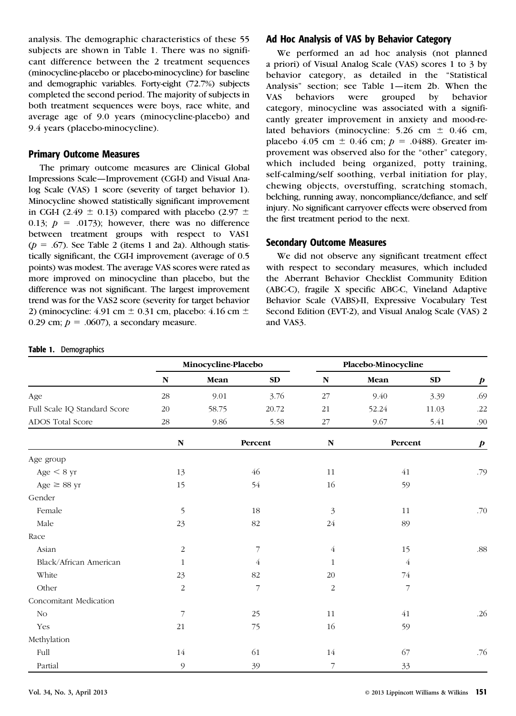analysis. The demographic characteristics of these 55 subjects are shown in Table 1. There was no significant difference between the 2 treatment sequences (minocycline-placebo or placebo-minocycline) for baseline and demographic variables. Forty-eight (72.7%) subjects completed the second period. The majority of subjects in both treatment sequences were boys, race white, and average age of 9.0 years (minocycline-placebo) and 9.4 years (placebo-minocycline).

#### Primary Outcome Measures

The primary outcome measures are Clinical Global Impressions Scale—Improvement (CGI-I) and Visual Analog Scale (VAS) 1 score (severity of target behavior 1). Minocycline showed statistically significant improvement in CGI-I (2.49  $\pm$  0.13) compared with placebo (2.97  $\pm$ 0.13;  $p = .0173$ ; however, there was no difference between treatment groups with respect to VAS1  $(p = .67)$ . See Table 2 (items 1 and 2a). Although statistically significant, the CGI-I improvement (average of 0.5 points) was modest. The average VAS scores were rated as more improved on minocycline than placebo, but the difference was not significant. The largest improvement trend was for the VAS2 score (severity for target behavior 2) (minocycline:  $4.91 \text{ cm} \pm 0.31 \text{ cm}$ , placebo:  $4.16 \text{ cm} \pm$ 0.29 cm;  $p = .0607$ ), a secondary measure.

## Ad Hoc Analysis of VAS by Behavior Category

We performed an ad hoc analysis (not planned a priori) of Visual Analog Scale (VAS) scores 1 to 3 by behavior category, as detailed in the "Statistical Analysis" section; see Table 1—item 2b. When the VAS behaviors were grouped by behavior category, minocycline was associated with a significantly greater improvement in anxiety and mood-related behaviors (minocycline: 5.26 cm  $\pm$  0.46 cm, placebo 4.05 cm  $\pm$  0.46 cm;  $p = .0488$ ). Greater improvement was observed also for the "other" category, which included being organized, potty training, self-calming/self soothing, verbal initiation for play, chewing objects, overstuffing, scratching stomach, belching, running away, noncompliance/defiance, and self injury. No significant carryover effects were observed from the first treatment period to the next.

## Secondary Outcome Measures

We did not observe any significant treatment effect with respect to secondary measures, which included the Aberrant Behavior Checklist Community Edition (ABC-C), fragile X specific ABC-C, Vineland Adaptive Behavior Scale (VABS)-II, Expressive Vocabulary Test Second Edition (EVT-2), and Visual Analog Scale (VAS) 2 and VAS3.

#### Table 1. Demographics

|                              | Minocycline-Placebo |       |         | Placebo-Minocycline |         |                |                  |
|------------------------------|---------------------|-------|---------|---------------------|---------|----------------|------------------|
|                              | ${\bf N}$           | Mean  | SD      | ${\bf N}$           | Mean    | ${\bf SD}$     | $\boldsymbol{p}$ |
| Age                          | 28                  | 9.01  | 3.76    | 27                  | 9.40    | 3.39           | .69              |
| Full Scale IQ Standard Score | $20\,$              | 58.75 | 20.72   | 21                  | 52.24   | 11.03          | .22              |
| ADOS Total Score             | $28\,$              | 9.86  | 5.58    | $27\,$              | 9.67    | 5.41           | .90              |
|                              | ${\bf N}$           |       | Percent | ${\bf N}$           | Percent |                | $\boldsymbol{p}$ |
| Age group                    |                     |       |         |                     |         |                |                  |
| Age $< 8$ yr                 | 13                  |       | 46      | 11                  | 41      |                | .79              |
| Age $\geq$ 88 yr             | 15                  |       | 54      | 16                  | 59      |                |                  |
| Gender                       |                     |       |         |                     |         |                |                  |
| Female                       | 5                   |       | 18      | 3                   | 11      |                | .70              |
| Male                         | $23\,$              |       | 82      | 24                  | 89      |                |                  |
| Race                         |                     |       |         |                     |         |                |                  |
| Asian                        | $\sqrt{2}$          |       | 7       | $\overline{4}$      | 15      |                | .88              |
| Black/African American       | $\mathbf{1}$        |       | 4       | $\mathbf{1}$        |         | $\overline{4}$ |                  |
| White                        | 23                  |       | 82      | 20                  | 74      |                |                  |
| Other                        | 2                   |       | 7       | 2                   |         | 7              |                  |
| Concomitant Medication       |                     |       |         |                     |         |                |                  |
| N <sub>O</sub>               | $\overline{7}$      |       | 25      | 11                  | 41      |                | .26              |
| Yes                          | 21                  |       | 75      | 16                  | 59      |                |                  |
| Methylation                  |                     |       |         |                     |         |                |                  |
| Full                         | 14                  |       | 61      | 14                  | 67      |                | .76              |
| Partial                      | 9                   |       | 39      | 7                   | 33      |                |                  |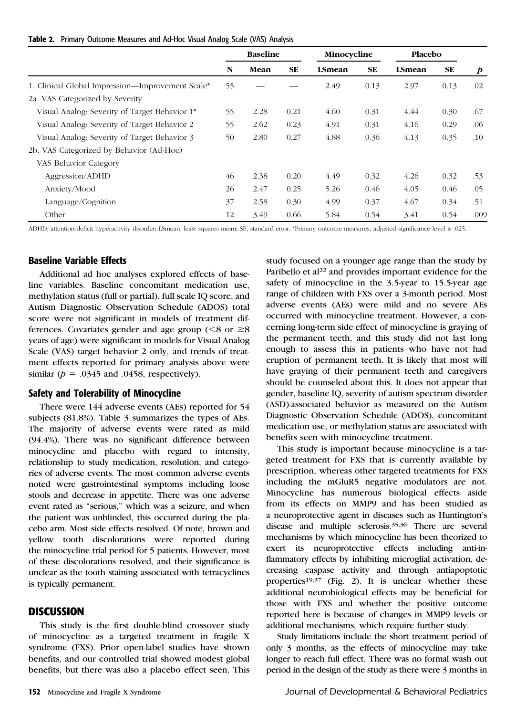|  | Table 2. Primary Outcome Measures and Ad-Hoc Visual Analog Scale (VAS) Analysis |  |  |  |  |  |  |  |
|--|---------------------------------------------------------------------------------|--|--|--|--|--|--|--|
|--|---------------------------------------------------------------------------------|--|--|--|--|--|--|--|

|                                                  | <b>Baseline</b> |      | Minocycline |               | Placebo |               |      |                  |
|--------------------------------------------------|-----------------|------|-------------|---------------|---------|---------------|------|------------------|
|                                                  | N               | Mean | <b>SE</b>   | <b>LSmean</b> | SE      | <b>LSmean</b> | SE   | $\boldsymbol{p}$ |
| 1. Clinical Global Impression—Improvement Scale* | 55              |      |             | 2.49          | 0.13    | 2.97          | 0.13 | .02              |
| 2a. VAS Categorized by Severity                  |                 |      |             |               |         |               |      |                  |
| Visual Analog: Severity of Target Behavior 1*    | 55              | 2.28 | 0.21        | 4.60          | 0.31    | 4.44          | 0.30 | .67              |
| Visual Analog: Severity of Target Behavior 2     | 55              | 2.62 | 0.23        | 4.91          | 0.31    | 4.16          | 0.29 | .06              |
| Visual Analog: Severity of Target Behavior 3     | 50              | 2.80 | 0.27        | 4.88          | 0.36    | 4.13          | 0.35 | $.10\,$          |
| 2b. VAS Categorized by Behavior (Ad-Hoc)         |                 |      |             |               |         |               |      |                  |
| VAS Behavior Category                            |                 |      |             |               |         |               |      |                  |
| Aggression/ADHD                                  | 46              | 2.38 | 0.20        | 4.49          | 0.32    | 4.26          | 0.32 | .53              |
| Anxiety/Mood                                     | 26              | 2.47 | 0.25        | 5.26          | 0.46    | 4.05          | 0.46 | .05              |
| Language/Cognition                               | 37              | 2.58 | 0.30        | 4.99          | 0.37    | 4.67          | 0.34 | .51              |
| Other                                            | 12              | 3.49 | 0.66        | 5.84          | 0.54    | 3.41          | 0.54 | .009             |

ADHD, attention-deficit hyperactivity disorder; LSmean, least squares mean; SE, standard error. \*Primary outcome measures, adjusted significance level is .025.

# Baseline Variable Effects

Additional ad hoc analyses explored effects of baseline variables. Baseline concomitant medication use, methylation status (full or partial), full scale IQ score, and Autism Diagnostic Observation Schedule (ADOS) total score were not significant in models of treatment differences. Covariates gender and age group ( $\leq 8$  or  $\geq 8$ ) years of age) were significant in models for Visual Analog Scale (VAS) target behavior 2 only, and trends of treatment effects reported for primary analysis above were similar ( $p = .0345$  and .0458, respectively).

#### Safety and Tolerability of Minocycline

There were 144 adverse events (AEs) reported for 54 subjects (81.8%). Table 3 summarizes the types of AEs. The majority of adverse events were rated as mild (94.4%). There was no significant difference between minocycline and placebo with regard to intensity, relationship to study medication, resolution, and categories of adverse events. The most common adverse events noted were gastrointestinal symptoms including loose stools and decrease in appetite. There was one adverse event rated as "serious," which was a seizure, and when the patient was unblinded, this occurred during the placebo arm. Most side effects resolved. Of note, brown and yellow tooth discolorations were reported during the minocycline trial period for 5 patients. However, most of these discolorations resolved, and their significance is unclear as the tooth staining associated with tetracyclines is typically permanent.

#### **DISCUSSION**

This study is the first double-blind crossover study of minocycline as a targeted treatment in fragile X syndrome (FXS). Prior open-label studies have shown benefits, and our controlled trial showed modest global benefits, but there was also a placebo effect seen. This

study focused on a younger age range than the study by Paribello et al<sup>22</sup> and provides important evidence for the safety of minocycline in the 3.5-year to 15.5-year age range of children with FXS over a 3-month period. Most adverse events (AEs) were mild and no severe AEs occurred with minocycline treatment. However, a concerning long-term side effect of minocycline is graying of the permanent teeth, and this study did not last long enough to assess this in patients who have not had eruption of permanent teeth. It is likely that most will have graying of their permanent teeth and caregivers should be counseled about this. It does not appear that gender, baseline IQ, severity of autism spectrum disorder (ASD)-associated behavior as measured on the Autism Diagnostic Observation Schedule (ADOS), concomitant medication use, or methylation status are associated with benefits seen with minocycline treatment.

This study is important because minocycline is a targeted treatment for FXS that is currently available by prescription, whereas other targeted treatments for FXS including the mGluR5 negative modulators are not. Minocycline has numerous biological effects aside from its effects on MMP9 and has been studied as a neuroprotective agent in diseases such as Huntington's disease and multiple sclerosis.35,36 There are several mechanisms by which minocycline has been theorized to exert its neuroprotective effects including anti-inflammatory effects by inhibiting microglial activation, decreasing caspase activity and through antiapoptotic properties<sup>19,37</sup> (Fig. 2). It is unclear whether these additional neurobiological effects may be beneficial for those with FXS and whether the positive outcome reported here is because of changes in MMP9 levels or additional mechanisms, which require further study.

Study limitations include the short treatment period of only 3 months, as the effects of minocycline may take longer to reach full effect. There was no formal wash out period in the design of the study as there were 3 months in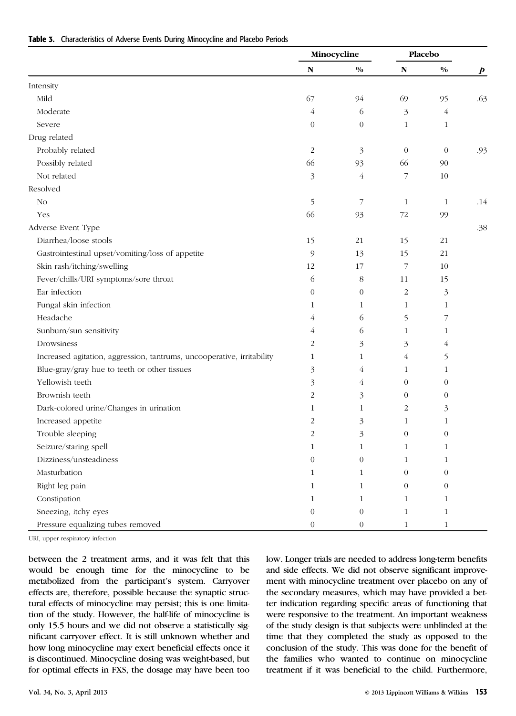|                                                                        | Minocycline      |                  | Placebo          |                |                  |  |
|------------------------------------------------------------------------|------------------|------------------|------------------|----------------|------------------|--|
|                                                                        | ${\bf N}$        | $0/0$            | ${\bf N}$        | $0/0$          | $\boldsymbol{p}$ |  |
| Intensity                                                              |                  |                  |                  |                |                  |  |
| Mild                                                                   | 67               | 94               | 69               | 95             | .63              |  |
| Moderate                                                               | 4                | 6                | 3                | $\overline{4}$ |                  |  |
| Severe                                                                 | $\boldsymbol{0}$ | $\boldsymbol{0}$ | $\mathbf{1}$     | $\mathbf{1}$   |                  |  |
| Drug related                                                           |                  |                  |                  |                |                  |  |
| Probably related                                                       | $\overline{c}$   | $\mathfrak{Z}$   | $\theta$         | $\theta$       | .93              |  |
| Possibly related                                                       | 66               | 93               | 66               | 90             |                  |  |
| Not related                                                            | 3                | $\overline{4}$   | 7                | $10\,$         |                  |  |
| Resolved                                                               |                  |                  |                  |                |                  |  |
| No                                                                     | 5                | $\overline{7}$   | $\mathbf{1}$     | $\mathbf{1}$   | .14              |  |
| Yes                                                                    | 66               | 93               | $72\,$           | 99             |                  |  |
| Adverse Event Type                                                     |                  |                  |                  |                | .38              |  |
| Diarrhea/loose stools                                                  | 15               | 21               | 15               | 21             |                  |  |
| Gastrointestinal upset/vomiting/loss of appetite                       | 9                | 13               | 15               | 21             |                  |  |
| Skin rash/itching/swelling                                             | 12               | 17               | 7                | 10             |                  |  |
| Fever/chills/URI symptoms/sore throat                                  | 6                | $\,8\,$          | 11               | 15             |                  |  |
| Ear infection                                                          | $\mathbf{0}$     | $\overline{0}$   | $\overline{c}$   | 3              |                  |  |
| Fungal skin infection                                                  | 1                | 1                | $\mathbf{1}$     | $\mathbf{1}$   |                  |  |
| Headache                                                               | 4                | 6                | 5                | 7              |                  |  |
| Sunburn/sun sensitivity                                                | 4                | 6                | $\mathbf{1}$     | 1              |                  |  |
| Drowsiness                                                             | 2                | 3                | 3                | $\overline{4}$ |                  |  |
| Increased agitation, aggression, tantrums, uncooperative, irritability | $\mathbf{1}$     | $\mathbf{1}$     | $\overline{4}$   | 5              |                  |  |
| Blue-gray/gray hue to teeth or other tissues                           | 3                | 4                | $\mathbf{1}$     | $\mathbf{1}$   |                  |  |
| Yellowish teeth                                                        | 3                | $\overline{4}$   | $\theta$         | $\theta$       |                  |  |
| Brownish teeth                                                         | 2                | 3                | $\theta$         | $\theta$       |                  |  |
| Dark-colored urine/Changes in urination                                | 1                | $\mathbf{1}$     | $\overline{2}$   | 3              |                  |  |
| Increased appetite                                                     | 2                | 3                | $\mathbf{1}$     | $\mathbf{1}$   |                  |  |
| Trouble sleeping                                                       | 2                | 3                | $\theta$         | $\theta$       |                  |  |
| Seizure/staring spell                                                  | 1                | 1                | $\mathbf{1}$     | $\mathbf{1}$   |                  |  |
| Dizziness/unsteadiness                                                 | $\Omega$         | $\Omega$         | $\mathbf{1}$     | 1              |                  |  |
| Masturbation                                                           | $\mathbf{1}$     | 1                | $\boldsymbol{0}$ | $\theta$       |                  |  |
| Right leg pain                                                         | 1                | $\mathbf{1}$     | $\theta$         | $\theta$       |                  |  |
| Constipation                                                           | $\mathbf{1}$     | $\mathbf{1}$     | $\mathbf{1}$     | $\mathbf{1}$   |                  |  |
| Sneezing, itchy eyes                                                   | $\boldsymbol{0}$ | $\boldsymbol{0}$ | $\mathbf{1}$     | $\mathbf{1}$   |                  |  |
| Pressure equalizing tubes removed                                      | $\boldsymbol{0}$ | $\,0\,$          | $\,1\,$          | $\mathbf{1}$   |                  |  |

URI, upper respiratory infection

between the 2 treatment arms, and it was felt that this would be enough time for the minocycline to be metabolized from the participant's system. Carryover effects are, therefore, possible because the synaptic structural effects of minocycline may persist; this is one limitation of the study. However, the half-life of minocycline is only 15.5 hours and we did not observe a statistically significant carryover effect. It is still unknown whether and how long minocycline may exert beneficial effects once it is discontinued. Minocycline dosing was weight-based, but for optimal effects in FXS, the dosage may have been too

low. Longer trials are needed to address long-term benefits and side effects. We did not observe significant improvement with minocycline treatment over placebo on any of the secondary measures, which may have provided a better indication regarding specific areas of functioning that were responsive to the treatment. An important weakness of the study design is that subjects were unblinded at the time that they completed the study as opposed to the conclusion of the study. This was done for the benefit of the families who wanted to continue on minocycline treatment if it was beneficial to the child. Furthermore,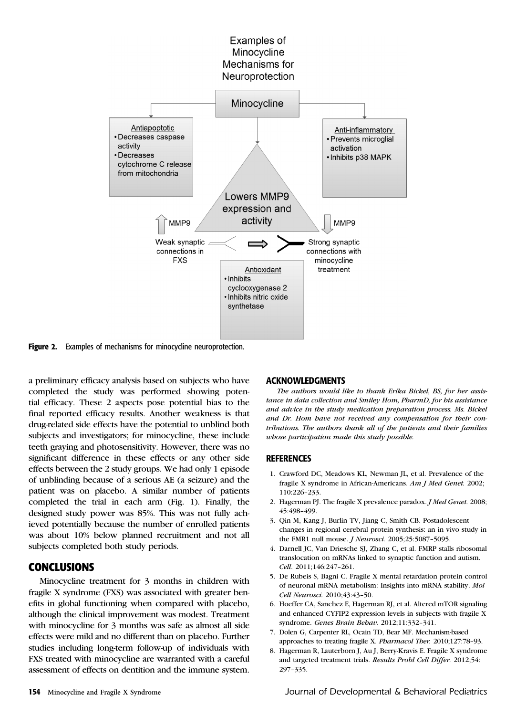

Figure 2. Examples of mechanisms for minocycline neuroprotection.

a preliminary efficacy analysis based on subjects who have completed the study was performed showing potential efficacy. These 2 aspects pose potential bias to the final reported efficacy results. Another weakness is that drug-related side effects have the potential to unblind both subjects and investigators; for minocycline, these include teeth graying and photosensitivity. However, there was no significant difference in these effects or any other side effects between the 2 study groups. We had only 1 episode of unblinding because of a serious AE (a seizure) and the patient was on placebo. A similar number of patients completed the trial in each arm (Fig. 1). Finally, the designed study power was 85%. This was not fully achieved potentially because the number of enrolled patients was about 10% below planned recruitment and not all subjects completed both study periods.

# CONCLUSIONS

Minocycline treatment for 3 months in children with fragile X syndrome (FXS) was associated with greater benefits in global functioning when compared with placebo, although the clinical improvement was modest. Treatment with minocycline for 3 months was safe as almost all side effects were mild and no different than on placebo. Further studies including long-term follow-up of individuals with FXS treated with minocycline are warranted with a careful assessment of effects on dentition and the immune system.

#### ACKNOWLEDGMENTS

The authors would like to thank Erika Bickel, BS, for her assistance in data collection and Smiley Hom, PharmD, for his assistance and advice in the study medication preparation process. Ms. Bickel and Dr. Hom have not received any compensation for their contributions. The authors thank all of the patients and their families whose participation made this study possible.

#### **REFERENCES**

- 1. Crawford DC, Meadows KL, Newman JL, et al. Prevalence of the fragile X syndrome in African-Americans. Am J Med Genet. 2002; 110:226–233.
- 2. Hagerman PJ. The fragile X prevalence paradox. *J Med Genet.* 2008; 45:498–499.
- 3. Qin M, Kang J, Burlin TV, Jiang C, Smith CB. Postadolescent changes in regional cerebral protein synthesis: an in vivo study in the FMR1 null mouse. J Neurosci. 2005;25:5087–5095.
- 4. Darnell JC, Van Driesche SJ, Zhang C, et al. FMRP stalls ribosomal translocation on mRNAs linked to synaptic function and autism. Cell. 2011;146:247–261.
- 5. De Rubeis S, Bagni C. Fragile X mental retardation protein control of neuronal mRNA metabolism: Insights into mRNA stability. Mol Cell Neurosci. 2010;43:43–50.
- 6. Hoeffer CA, Sanchez E, Hagerman RJ, et al. Altered mTOR signaling and enhanced CYFIP2 expression levels in subjects with fragile X syndrome. Genes Brain Behav. 2012;11:332–341.
- 7. Dolen G, Carpenter RL, Ocain TD, Bear MF. Mechanism-based approaches to treating fragile X. Pharmacol Ther. 2010;127:78–93.
- 8. Hagerman R, Lauterborn J, Au J, Berry-Kravis E. Fragile X syndrome and targeted treatment trials. Results Probl Cell Differ. 2012;54: 297–335.